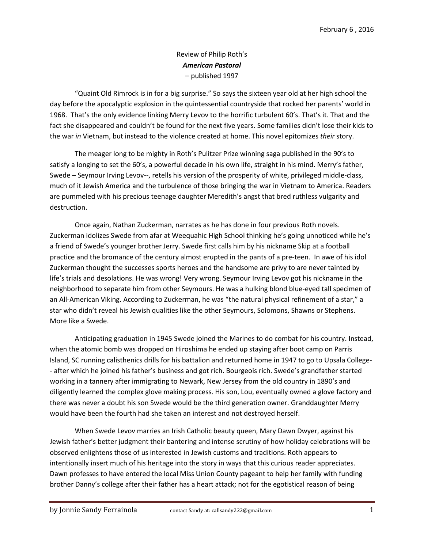## Review of Philip Roth's *American Pastoral* – published 1997

"Quaint Old Rimrock is in for a big surprise." So says the sixteen year old at her high school the day before the apocalyptic explosion in the quintessential countryside that rocked her parents' world in 1968. That's the only evidence linking Merry Levov to the horrific turbulent 60's. That's it. That and the fact she disappeared and couldn't be found for the next five years. Some families didn't lose their kids to the war *in* Vietnam, but instead to the violence created at home. This novel epitomizes *their* story.

The meager long to be mighty in Roth's Pulitzer Prize winning saga published in the 90's to satisfy a longing to set the 60's, a powerful decade in his own life, straight in his mind. Merry's father, Swede – Seymour Irving Levov--, retells his version of the prosperity of white, privileged middle-class, much of it Jewish America and the turbulence of those bringing the war in Vietnam to America. Readers are pummeled with his precious teenage daughter Meredith's angst that bred ruthless vulgarity and destruction.

Once again, Nathan Zuckerman, narrates as he has done in four previous Roth novels. Zuckerman idolizes Swede from afar at Weequahic High School thinking he's going unnoticed while he's a friend of Swede's younger brother Jerry. Swede first calls him by his nickname Skip at a football practice and the bromance of the century almost erupted in the pants of a pre-teen. In awe of his idol Zuckerman thought the successes sports heroes and the handsome are privy to are never tainted by life's trials and desolations. He was wrong! Very wrong. Seymour Irving Levov got his nickname in the neighborhood to separate him from other Seymours. He was a hulking blond blue-eyed tall specimen of an All-American Viking. According to Zuckerman, he was "the natural physical refinement of a star," a star who didn't reveal his Jewish qualities like the other Seymours, Solomons, Shawns or Stephens. More like a Swede.

Anticipating graduation in 1945 Swede joined the Marines to do combat for his country. Instead, when the atomic bomb was dropped on Hiroshima he ended up staying after boot camp on Parris Island, SC running calisthenics drills for his battalion and returned home in 1947 to go to Upsala College- - after which he joined his father's business and got rich. Bourgeois rich. Swede's grandfather started working in a tannery after immigrating to Newark, New Jersey from the old country in 1890's and diligently learned the complex glove making process. His son, Lou, eventually owned a glove factory and there was never a doubt his son Swede would be the third generation owner. Granddaughter Merry would have been the fourth had she taken an interest and not destroyed herself.

When Swede Levov marries an Irish Catholic beauty queen, Mary Dawn Dwyer, against his Jewish father's better judgment their bantering and intense scrutiny of how holiday celebrations will be observed enlightens those of us interested in Jewish customs and traditions. Roth appears to intentionally insert much of his heritage into the story in ways that this curious reader appreciates. Dawn professes to have entered the local Miss Union County pageant to help her family with funding brother Danny's college after their father has a heart attack; not for the egotistical reason of being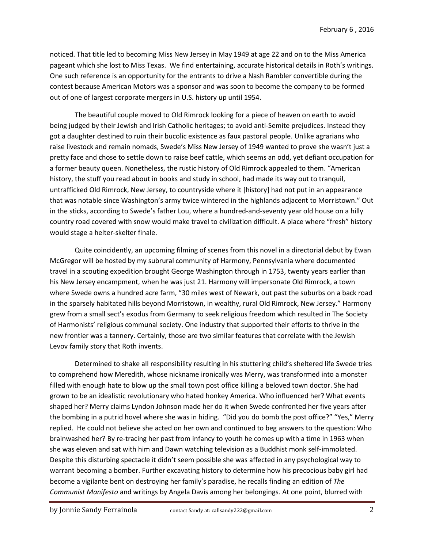noticed. That title led to becoming Miss New Jersey in May 1949 at age 22 and on to the Miss America pageant which she lost to Miss Texas. We find entertaining, accurate historical details in Roth's writings. One such reference is an opportunity for the entrants to drive a Nash Rambler convertible during the contest because American Motors was a sponsor and was soon to become the company to be formed out of one of largest corporate mergers in U.S. history up until 1954.

The beautiful couple moved to Old Rimrock looking for a piece of heaven on earth to avoid being judged by their Jewish and Irish Catholic heritages; to avoid anti-Semite prejudices. Instead they got a daughter destined to ruin their bucolic existence as faux pastoral people. Unlike agrarians who raise livestock and remain nomads, Swede's Miss New Jersey of 1949 wanted to prove she wasn't just a pretty face and chose to settle down to raise beef cattle, which seems an odd, yet defiant occupation for a former beauty queen. Nonetheless, the rustic history of Old Rimrock appealed to them. "American history, the stuff you read about in books and study in school, had made its way out to tranquil, untrafficked Old Rimrock, New Jersey, to countryside where it [history] had not put in an appearance that was notable since Washington's army twice wintered in the highlands adjacent to Morristown." Out in the sticks, according to Swede's father Lou, where a hundred-and-seventy year old house on a hilly country road covered with snow would make travel to civilization difficult. A place where "fresh" history would stage a helter-skelter finale.

Quite coincidently, an upcoming filming of scenes from this novel in a directorial debut by Ewan McGregor will be hosted by my subrural community of Harmony, Pennsylvania where documented travel in a scouting expedition brought George Washington through in 1753, twenty years earlier than his New Jersey encampment, when he was just 21. Harmony will impersonate Old Rimrock, a town where Swede owns a hundred acre farm, "30 miles west of Newark, out past the suburbs on a back road in the sparsely habitated hills beyond Morristown, in wealthy, rural Old Rimrock, New Jersey." Harmony grew from a small sect's exodus from Germany to seek religious freedom which resulted in The Society of Harmonists' religious communal society. One industry that supported their efforts to thrive in the new frontier was a tannery. Certainly, those are two similar features that correlate with the Jewish Levov family story that Roth invents.

Determined to shake all responsibility resulting in his stuttering child's sheltered life Swede tries to comprehend how Meredith, whose nickname ironically was Merry, was transformed into a monster filled with enough hate to blow up the small town post office killing a beloved town doctor. She had grown to be an idealistic revolutionary who hated honkey America. Who influenced her? What events shaped her? Merry claims Lyndon Johnson made her do it when Swede confronted her five years after the bombing in a putrid hovel where she was in hiding. "Did you do bomb the post office?" "Yes," Merry replied. He could not believe she acted on her own and continued to beg answers to the question: Who brainwashed her? By re-tracing her past from infancy to youth he comes up with a time in 1963 when she was eleven and sat with him and Dawn watching television as a Buddhist monk self-immolated. Despite this disturbing spectacle it didn't seem possible she was affected in any psychological way to warrant becoming a bomber. Further excavating history to determine how his precocious baby girl had become a vigilante bent on destroying her family's paradise, he recalls finding an edition of *The Communist Manifesto* and writings by Angela Davis among her belongings. At one point, blurred with